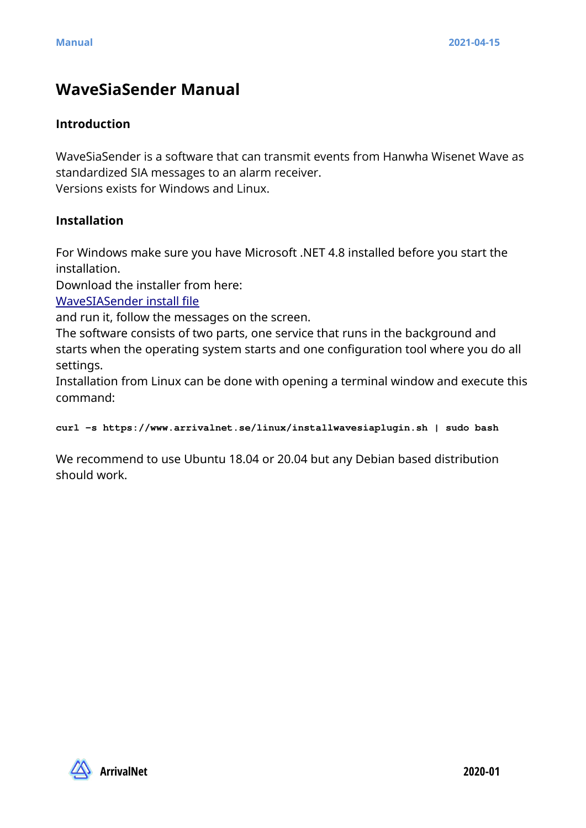# **WaveSiaSender Manual**

#### **Introduction**

WaveSiaSender is a software that can transmit events from Hanwha Wisenet Wave as standardized SIA messages to an alarm receiver.

Versions exists for Windows and Linux.

#### **Installation**

For Windows make sure you have Microsoft .NET 4.8 installed before you start the installation.

Download the installer from here:

[WaveSIASender install file](https://www.arrivalnet.se/windows/WaveSIAPluginSetup.msi)

and run it, follow the messages on the screen.

The software consists of two parts, one service that runs in the background and starts when the operating system starts and one configuration tool where you do all settings.

Installation from Linux can be done with opening a terminal window and execute this command:

**curl -s https://www.arrivalnet.se/linux/installwavesiaplugin.sh | sudo bash**

We recommend to use Ubuntu 18.04 or 20.04 but any Debian based distribution should work.

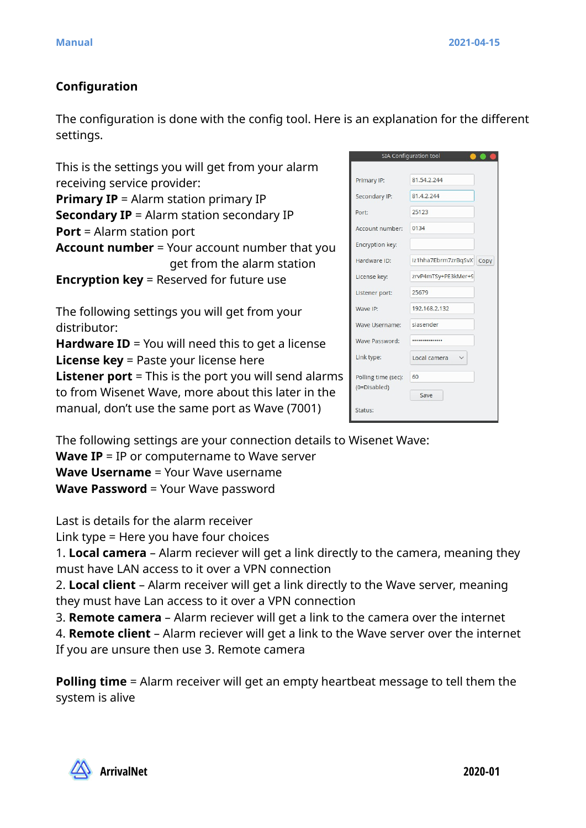# **Configuration**

The configuration is done with the config tool. Here is an explanation for the different settings.

This is the settings you will get from your alarm receiving service provider:

**Primary IP** = Alarm station primary IP **Secondary IP** = Alarm station secondary IP **Port** = Alarm station port **Account number** = Your account number that you get from the alarm station **Encryption key** = Reserved for future use

The following settings you will get from your distributor:

**Hardware ID** = You will need this to get a license **License key** = Paste your license here **Listener port** = This is the port you will send alarms to from Wisenet Wave, more about this later in the manual, don't use the same port as Wave (7001)

|                     | <b>SIA Configuration tool</b> |  |
|---------------------|-------------------------------|--|
| Primary IP:         | 81.54.2.244                   |  |
| Secondary IP:       | 81.4.2.244                    |  |
| Port:               | 25123                         |  |
| Account number:     | 0134                          |  |
| Encryption key:     |                               |  |
| Hardware ID:        | iz1hha7Ebrm7zrBqSvX Copy      |  |
| License key:        | zrvP4mTSy+PE3kMer+9           |  |
| Listener port:      | 25679                         |  |
| Wave IP:            | 192.168.2.132                 |  |
| Wave Username:      | siasender                     |  |
| Wave Password:      |                               |  |
| Link type:          | Local camera                  |  |
| Polling time (sec): | 60                            |  |
| (0=Disabled)        | Save                          |  |
| Status:             |                               |  |
|                     |                               |  |

The following settings are your connection details to Wisenet Wave:

**Wave IP** = IP or computername to Wave server

**Wave Username** = Your Wave username

**Wave Password** = Your Wave password

Last is details for the alarm receiver

Link type = Here you have four choices

1. **Local camera** – Alarm reciever will get a link directly to the camera, meaning they must have LAN access to it over a VPN connection

2. **Local client** – Alarm receiver will get a link directly to the Wave server, meaning they must have Lan access to it over a VPN connection

3. **Remote camera** – Alarm reciever will get a link to the camera over the internet

4. **Remote client** – Alarm reciever will get a link to the Wave server over the internet If you are unsure then use 3. Remote camera

**Polling time** = Alarm receiver will get an empty heartbeat message to tell them the system is alive

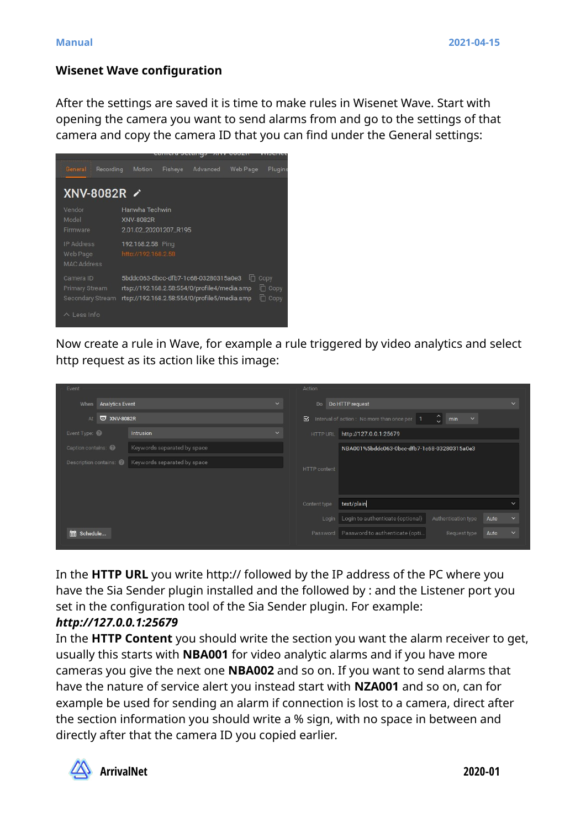#### **Wisenet Wave configuration**

After the settings are saved it is time to make rules in Wisenet Wave. Start with opening the camera you want to send alarms from and go to the settings of that camera and copy the camera ID that you can find under the General settings:



Now create a rule in Wave, for example a rule triggered by video analytics and select http request as its action like this image:

| Event                          |                                                       |              | Action              |                                               |                                            |                      |
|--------------------------------|-------------------------------------------------------|--------------|---------------------|-----------------------------------------------|--------------------------------------------|----------------------|
| <b>Analytics Event</b><br>When |                                                       | $\checkmark$ | Do                  | Do HTTP request                               |                                            | $\checkmark$         |
| <b>W</b> XNV-8082R<br>At       |                                                       |              | ⊠                   | Interval of action: No more than once per   1 | $\hat{\mathcal{L}}$<br>min<br>$\checkmark$ |                      |
| Event Type:                    | <b>Intrusion</b>                                      | $\checkmark$ | HTTP URL            | http://127.0.0.1:25679                        |                                            |                      |
| Caption contains:              | Keywords separated by space                           |              |                     | NBA001%5bddc063-0bcc-dfb7-1c68-03280315a0e3   |                                            |                      |
|                                | Description contains: @   Keywords separated by space |              | <b>HTTP</b> content |                                               |                                            |                      |
|                                |                                                       |              | Content type        | text/plain                                    |                                            | $\checkmark$         |
|                                |                                                       |              |                     | Login   Login to authenticate (optional)      | Authentication type                        | Auto<br>$\checkmark$ |
| <b>ED</b> Schedule             |                                                       |              | Password            | Password to authenticate (opti                | Request type                               | $\checkmark$<br>Auto |

In the **HTTP URL** you write http:// followed by the IP address of the PC where you have the Sia Sender plugin installed and the followed by : and the Listener port you set in the configuration tool of the Sia Sender plugin. For example:

## *http://127.0.0.1:25679*

In the **HTTP Content** you should write the section you want the alarm receiver to get, usually this starts with **NBA001** for video analytic alarms and if you have more cameras you give the next one **NBA002** and so on. If you want to send alarms that have the nature of service alert you instead start with **NZA001** and so on, can for example be used for sending an alarm if connection is lost to a camera, direct after the section information you should write a % sign, with no space in between and directly after that the camera ID you copied earlier.



**ArrivalNet 2020-01**